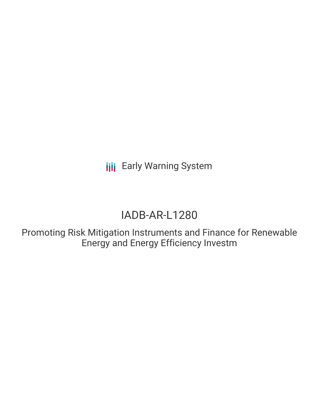# IADB-AR-L1280

Promoting Risk Mitigation Instruments and Finance for Renewable Energy and Energy Efficiency Investm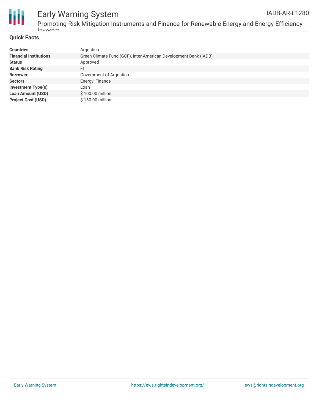

#### **Quick Facts**

| <b>Countries</b>              | Argentina                                                        |
|-------------------------------|------------------------------------------------------------------|
| <b>Financial Institutions</b> | Green Climate Fund (GCF), Inter-American Development Bank (IADB) |
| <b>Status</b>                 | Approved                                                         |
| <b>Bank Risk Rating</b>       | FI                                                               |
| <b>Borrower</b>               | Government of Argentina                                          |
| <b>Sectors</b>                | Energy, Finance                                                  |
| <b>Investment Type(s)</b>     | Loan                                                             |
| <b>Loan Amount (USD)</b>      | \$100.00 million                                                 |
| <b>Project Cost (USD)</b>     | \$160.00 million                                                 |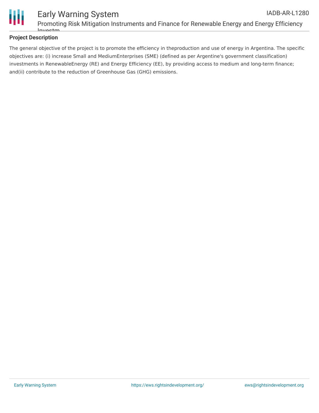

#### **Project Description**

The general objective of the project is to promote the efficiency in theproduction and use of energy in Argentina. The specific objectives are: (i) increase Small and MediumEnterprises (SME) (defined as per Argentine's government classification) investments in RenewableEnergy (RE) and Energy Efficiency (EE), by providing access to medium and long-term finance; and(ii) contribute to the reduction of Greenhouse Gas (GHG) emissions.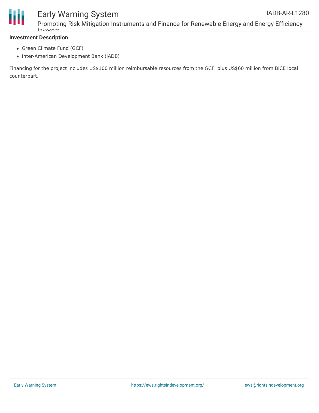

Promoting Risk Mitigation Instruments and Finance for Renewable Energy and Energy Efficiency Investm

#### **Investment Description**

- Green Climate Fund (GCF)
- Inter-American Development Bank (IADB)

Financing for the project includes US\$100 million reimbursable resources from the GCF, plus US\$60 million from BICE local counterpart.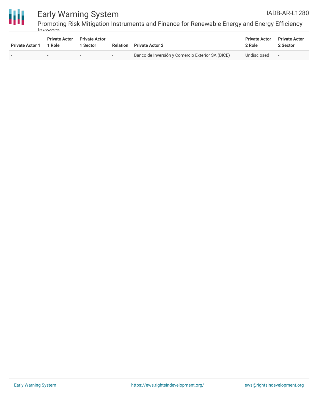

Promoting Risk Mitigation Instruments and Finance for Renewable Energy and Energy Efficiency Investm

| <b>Private Actor 1</b> | <b>Private Actor</b><br>1 Role | <b>Private Actor</b><br>l Sector | Relation                 | <b>Private Actor 2</b>                           | <b>Private Actor</b><br>2 Role | <b>Private Actor</b><br>2 Sector |
|------------------------|--------------------------------|----------------------------------|--------------------------|--------------------------------------------------|--------------------------------|----------------------------------|
|                        | $\overline{\phantom{a}}$       |                                  | $\overline{\phantom{a}}$ | Banco de Inversión y Comércio Exterior SA (BICE) | Undisclosed                    | $\overline{\phantom{0}}$         |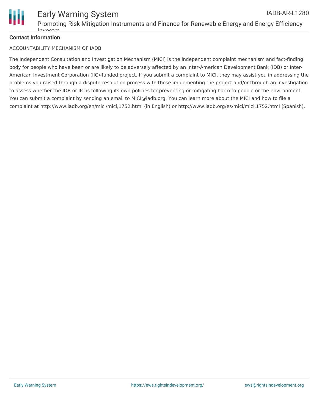

#### **Contact Information**

#### ACCOUNTABILITY MECHANISM OF IADB

The Independent Consultation and Investigation Mechanism (MICI) is the independent complaint mechanism and fact-finding body for people who have been or are likely to be adversely affected by an Inter-American Development Bank (IDB) or Inter-American Investment Corporation (IIC)-funded project. If you submit a complaint to MICI, they may assist you in addressing the problems you raised through a dispute-resolution process with those implementing the project and/or through an investigation to assess whether the IDB or IIC is following its own policies for preventing or mitigating harm to people or the environment. You can submit a complaint by sending an email to MICI@iadb.org. You can learn more about the MICI and how to file a complaint at http://www.iadb.org/en/mici/mici,1752.html (in English) or http://www.iadb.org/es/mici/mici,1752.html (Spanish).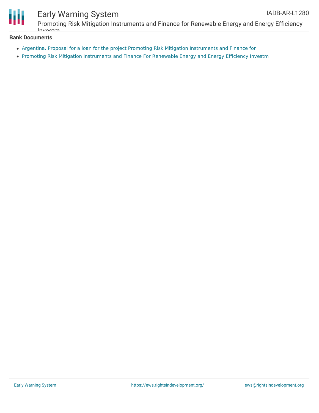

Promoting Risk Mitigation Instruments and Finance for Renewable Energy and Energy Efficiency Investm

#### **Bank Documents**

- Argentina. Proposal for a loan for the project Promoting Risk Mitigation [Instruments](https://www.iadb.org/Document.cfm?id=EZSHARE-972212929-42) and Finance for
- Promoting Risk Mitigation [Instruments](https://www.iadb.org/Document.cfm?id=EZSHARE-1470197173-48090) and Finance For Renewable Energy and Energy Efficiency Investm